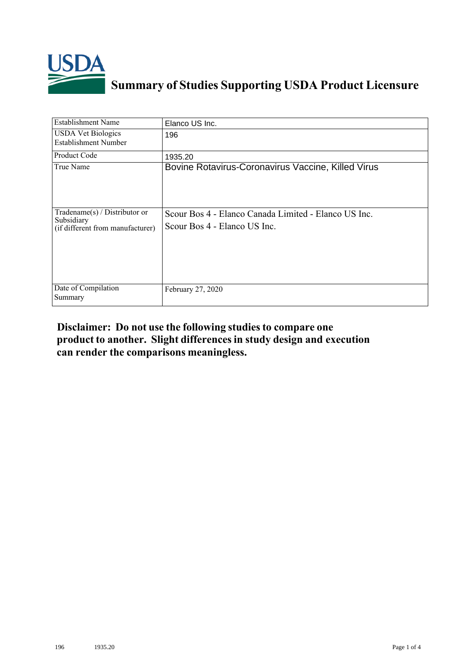

## **Summary of Studies Supporting USDA Product Licensure**

| <b>Establishment Name</b>                                                          | Elanco US Inc.                                                                       |
|------------------------------------------------------------------------------------|--------------------------------------------------------------------------------------|
| <b>USDA Vet Biologics</b><br>Establishment Number                                  | 196                                                                                  |
| <b>Product Code</b>                                                                | 1935.20                                                                              |
| True Name                                                                          | Bovine Rotavirus-Coronavirus Vaccine, Killed Virus                                   |
| Tradename $(s)$ / Distributor or<br>Subsidiary<br>(if different from manufacturer) | Scour Bos 4 - Elanco Canada Limited - Elanco US Inc.<br>Scour Bos 4 - Elanco US Inc. |
| Date of Compilation<br>Summary                                                     | February 27, 2020                                                                    |

## **Disclaimer: Do not use the following studiesto compare one product to another. Slight differencesin study design and execution can render the comparisons meaningless.**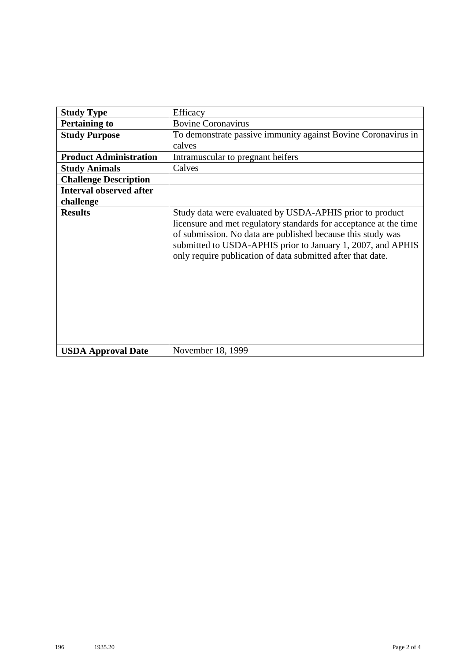| <b>Study Type</b>              | Efficacy                                                                                                                                                                                                                                                                                                                   |
|--------------------------------|----------------------------------------------------------------------------------------------------------------------------------------------------------------------------------------------------------------------------------------------------------------------------------------------------------------------------|
| <b>Pertaining to</b>           | <b>Bovine Coronavirus</b>                                                                                                                                                                                                                                                                                                  |
| <b>Study Purpose</b>           | To demonstrate passive immunity against Bovine Coronavirus in                                                                                                                                                                                                                                                              |
|                                | calves                                                                                                                                                                                                                                                                                                                     |
| <b>Product Administration</b>  | Intramuscular to pregnant heifers                                                                                                                                                                                                                                                                                          |
| <b>Study Animals</b>           | Calves                                                                                                                                                                                                                                                                                                                     |
| <b>Challenge Description</b>   |                                                                                                                                                                                                                                                                                                                            |
| <b>Interval observed after</b> |                                                                                                                                                                                                                                                                                                                            |
| challenge                      |                                                                                                                                                                                                                                                                                                                            |
| <b>Results</b>                 | Study data were evaluated by USDA-APHIS prior to product<br>licensure and met regulatory standards for acceptance at the time<br>of submission. No data are published because this study was<br>submitted to USDA-APHIS prior to January 1, 2007, and APHIS<br>only require publication of data submitted after that date. |
| <b>USDA Approval Date</b>      | November 18, 1999                                                                                                                                                                                                                                                                                                          |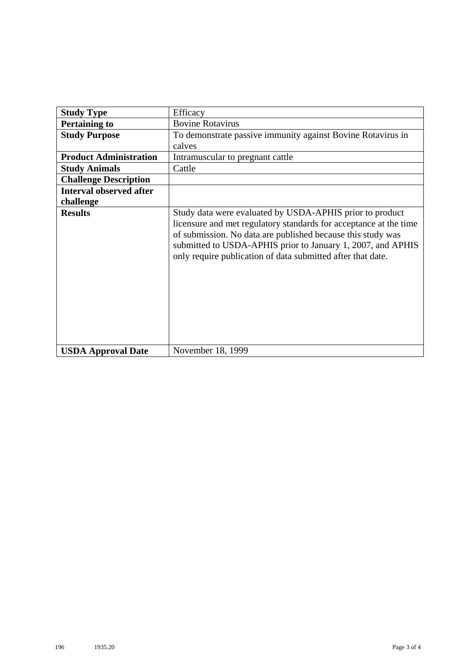| <b>Study Type</b>              | Efficacy                                                                                                                                                                                                                                                                                                                   |
|--------------------------------|----------------------------------------------------------------------------------------------------------------------------------------------------------------------------------------------------------------------------------------------------------------------------------------------------------------------------|
| <b>Pertaining to</b>           | <b>Bovine Rotavirus</b>                                                                                                                                                                                                                                                                                                    |
| <b>Study Purpose</b>           | To demonstrate passive immunity against Bovine Rotavirus in                                                                                                                                                                                                                                                                |
|                                | calves                                                                                                                                                                                                                                                                                                                     |
| <b>Product Administration</b>  | Intramuscular to pregnant cattle                                                                                                                                                                                                                                                                                           |
| <b>Study Animals</b>           | Cattle                                                                                                                                                                                                                                                                                                                     |
| <b>Challenge Description</b>   |                                                                                                                                                                                                                                                                                                                            |
| <b>Interval observed after</b> |                                                                                                                                                                                                                                                                                                                            |
| challenge                      |                                                                                                                                                                                                                                                                                                                            |
| <b>Results</b>                 | Study data were evaluated by USDA-APHIS prior to product<br>licensure and met regulatory standards for acceptance at the time<br>of submission. No data are published because this study was<br>submitted to USDA-APHIS prior to January 1, 2007, and APHIS<br>only require publication of data submitted after that date. |
| <b>USDA Approval Date</b>      | November 18, 1999                                                                                                                                                                                                                                                                                                          |